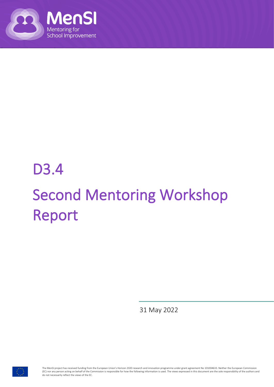

## D3.4 Second Mentoring Workshop Report

31 May 2022



The MenSI project has received funding from the European Union's Horizon 2020 research and innovation programme under grant agreement No 101004633. Neither the European Commission we mean a person acting on behalf of the Commission is responsible for how the following information is used. The views expressed in this document are the sole responsibility of the authors and information is used. The vie do not necessarily reflect the views of the EC.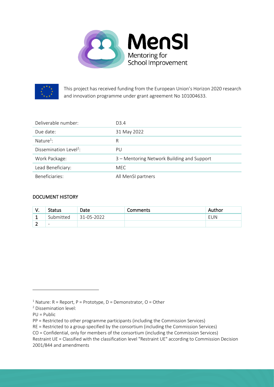



This project has received funding from the European Union's Horizon 2020 research and innovation programme under grant agreement No 101004633.

| Deliverable number:                | D <sub>3</sub> .4                          |
|------------------------------------|--------------------------------------------|
| Due date:                          | 31 May 2022                                |
| Nature <sup>1</sup> :              | R                                          |
| Dissemination Level <sup>2</sup> : | PU                                         |
| Work Package:                      | 3 – Mentoring Network Building and Support |
| Lead Beneficiary:                  | <b>MEC</b>                                 |
| Beneficiaries:                     | All MenSI partners                         |

#### DOCUMENT HISTORY

| v. | <b>Status</b>            | Date       | Comments | Author |
|----|--------------------------|------------|----------|--------|
| ∸  | Submitted                | 31-05-2022 |          | EUN    |
|    | $\overline{\phantom{0}}$ |            |          |        |

PU = Public

<sup>&</sup>lt;sup>1</sup> Nature:  $R$  = Report,  $P$  = Prototype,  $D$  = Demonstrator,  $O$  = Other

<sup>2</sup> Dissemination level:

PP = Restricted to other programme participants (including the Commission Services)

RE = Restricted to a group specified by the consortium (including the Commission Services)

CO = Confidential, only for members of the consortium (including the Commission Services)

Restraint UE = Classified with the classification level "Restraint UE" according to Commission Decision 2001/844 and amendments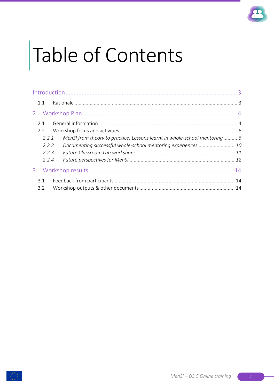

# Table of Contents

| 1.1   |                                                                           |  |
|-------|---------------------------------------------------------------------------|--|
|       |                                                                           |  |
| 2.1   |                                                                           |  |
| 2.2   |                                                                           |  |
| 2.2.1 | MenSI from theory to practice: Lessons learnt in whole-school mentoring 6 |  |
| 2.2.2 |                                                                           |  |
| 2.2.3 |                                                                           |  |
| 2.2.4 |                                                                           |  |
|       |                                                                           |  |
| 3.1   |                                                                           |  |
| 3.2   |                                                                           |  |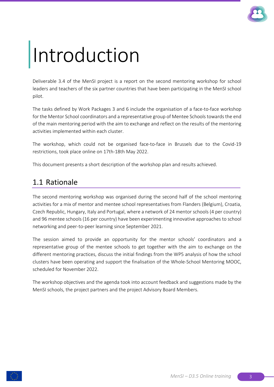

## Introduction

Deliverable 3.4 of the MenSI project is a report on the second mentoring workshop for school leaders and teachers of the six partner countries that have been participating in the MenSI school pilot.

The tasks defined by Work Packages 3 and 6 include the organisation of a face-to-face workshop for the Mentor School coordinators and a representative group of Mentee Schools towards the end of the main mentoring period with the aim to exchange and reflect on the results of the mentoring activities implemented within each cluster.

The workshop, which could not be organised face-to-face in Brussels due to the Covid-19 restrictions, took place online on 17th-18th May 2022.

This document presents a short description of the workshop plan and results achieved.

## 1.1 Rationale

The second mentoring workshop was organised during the second half of the school mentoring activities for a mix of mentor and mentee school representatives from Flanders (Belgium), Croatia, Czech Republic, Hungary, Italy and Portugal, where a network of 24 mentor schools (4 per country) and 96 mentee schools (16 per country) have been experimenting innovative approaches to school networking and peer-to-peer learning since September 2021.

The session aimed to provide an opportunity for the mentor schools' coordinators and a representative group of the mentee schools to get together with the aim to exchange on the different mentoring practices, discuss the initial findings from the WP5 analysis of how the school clusters have been operating and support the finalisation of the Whole-School Mentoring MOOC, scheduled for November 2022.

The workshop objectives and the agenda took into account feedback and suggestions made by the MenSI schools, the project partners and the project Advisory Board Members.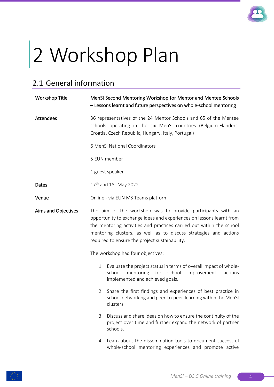

# 2 Workshop Plan

## 2.1 General information

| <b>Workshop Title</b> | MenSI Second Mentoring Workshop for Mentor and Mentee Schools<br>- Lessons learnt and future perspectives on whole-school mentoring                                                                                                                                                                                               |  |  |  |  |
|-----------------------|-----------------------------------------------------------------------------------------------------------------------------------------------------------------------------------------------------------------------------------------------------------------------------------------------------------------------------------|--|--|--|--|
| Attendees             | 36 representatives of the 24 Mentor Schools and 65 of the Mentee<br>schools operating in the six MenSI countries (Belgium-Flanders,<br>Croatia, Czech Republic, Hungary, Italy, Portugal)                                                                                                                                         |  |  |  |  |
|                       | 6 MenSi National Coordinators                                                                                                                                                                                                                                                                                                     |  |  |  |  |
|                       | 5 EUN member                                                                                                                                                                                                                                                                                                                      |  |  |  |  |
|                       | 1 guest speaker                                                                                                                                                                                                                                                                                                                   |  |  |  |  |
| Dates                 | $17^{th}$ and $18^{h}$ May 2022                                                                                                                                                                                                                                                                                                   |  |  |  |  |
| Venue                 | Online - via EUN MS Teams platform                                                                                                                                                                                                                                                                                                |  |  |  |  |
| Aims and Objectives   | The aim of the workshop was to provide participants with an<br>opportunity to exchange ideas and experiences on lessons learnt from<br>the mentoring activities and practices carried out within the school<br>mentoring clusters, as well as to discuss strategies and actions<br>required to ensure the project sustainability. |  |  |  |  |
|                       | The workshop had four objectives:                                                                                                                                                                                                                                                                                                 |  |  |  |  |
|                       | Evaluate the project status in terms of overall impact of whole-<br>1.<br>school<br>mentoring for school<br>improvement:<br>actions<br>implemented and achieved goals.                                                                                                                                                            |  |  |  |  |
|                       | Share the first findings and experiences of best practice in<br>2.<br>school networking and peer-to-peer-learning within the MenSI<br>clusters.                                                                                                                                                                                   |  |  |  |  |
|                       | Discuss and share ideas on how to ensure the continuity of the<br>3.<br>project over time and further expand the network of partner<br>schools.                                                                                                                                                                                   |  |  |  |  |
|                       | Learn about the dissemination tools to document successful<br>4.<br>whole-school mentoring experiences and promote active                                                                                                                                                                                                         |  |  |  |  |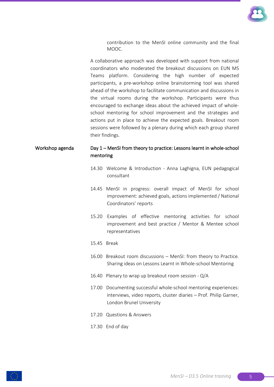

contribution to the MenSI online community and the final MOOC.

A collaborative approach was developed with support from national coordinators who moderated the breakout discussions on EUN MS Teams platform. Considering the high number of expected participants, a pre-workshop online brainstorming tool was shared ahead of the workshop to facilitate communication and discussions in the virtual rooms during the workshop. Participants were thus encouraged to exchange ideas about the achieved impact of wholeschool mentoring for school improvement and the strategies and actions put in place to achieve the expected goals. Breakout room sessions were followed by a plenary during which each group shared their findings.

#### Workshop agenda Day 1 – MenSI from theory to practice: Lessons learnt in whole-school mentoring

- 14.30 Welcome & Introduction Anna Laghigna, EUN pedagogical consultant
- 14.45 MenSI in progress: overall impact of MenSI for school improvement: achieved goals, actions implemented / National Coordinators' reports
- 15.20 Examples of effective mentoring activities for school improvement and best practice / Mentor & Mentee school representatives
- 15.45 Break
- 16.00 Breakout room discussions MenSI: from theory to Practice. Sharing ideas on Lessons Learnt in Whole-school Mentoring
- 16.40 Plenary to wrap up breakout room session Q/A
- 17.00 Documenting successful whole-school mentoring experiences: interviews, video reports, cluster diaries – Prof. Philip Garner, London Brunel University
- 17.20 Questions & Answers
- 17.30 End of day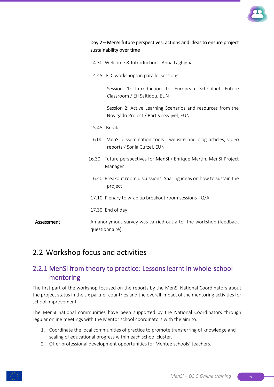

| Day 2 – MenSI future perspectives: actions and ideas to ensure project<br>sustainability over time |  |  |                                              |  |                                                      |  |
|----------------------------------------------------------------------------------------------------|--|--|----------------------------------------------|--|------------------------------------------------------|--|
|                                                                                                    |  |  | 14.30 Welcome & Introduction - Anna Laghigna |  |                                                      |  |
|                                                                                                    |  |  | 14.45 FLC workshops in parallel sessions     |  |                                                      |  |
|                                                                                                    |  |  | Classroom / Efi Saltidou, EUN                |  | Session 1: Introduction to European Schoolnet Future |  |

Session 2: Active Learning Scenarios and resources from the Novigado Project / Bart Versvijvel, EUN

- 15.45 Break
- 16.00 MenSI dissemination tools: website and blog articles, video reports / Sonia Curzel, EUN
- 16.30 Future perspectives for MenSI / Enrique Martin, MenSI Project Manager
- 16.40 Breakout room discussions: Sharing ideas on how to sustain the project
- 17.10 Plenary to wrap up breakout room sessions Q/A
- 17.30 End of day

Assessment An anonymous survey was carried out after the workshop (feedback questionnaire).

## 2.2 Workshop focus and activities

## 2.2.1 MenSI from theory to practice: Lessons learnt in whole-school mentoring

The first part of the workshop focused on the reports by the MenSI National Coordinators about the project status in the six partner countries and the overall impact of the mentoring activities for school improvement.

The MenSI national communities have been supported by the National Coordinators through regular online meetings with the Mentor school coordinators with the aim to:

- 1. Coordinate the local communities of practice to promote transferring of knowledge and scaling of educational progress within each school cluster.
- 2. Offer professional development opportunities for Mentee schools' teachers.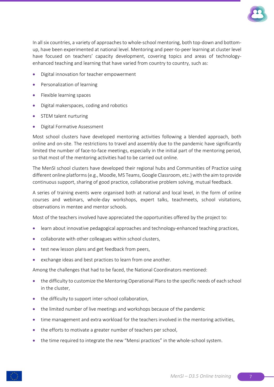

In all six countries, a variety of approaches to whole-school mentoring, both top-down and bottomup, have been experimented at national level. Mentoring and peer-to-peer learning at cluster level have focused on teachers' capacity development, covering topics and areas of technologyenhanced teaching and learning that have varied from country to country, such as:

- Digital innovation for teacher empowerment
- Personalization of learning
- Flexible learning spaces
- Digital makerspaces, coding and robotics
- STEM talent nurturing
- Digital Formative Assessment

Most school clusters have developed mentoring activities following a blended approach, both online and on-site. The restrictions to travel and assembly due to the pandemic have significantly limited the number of face-to-face meetings, especially in the initial part of the mentoring period, so that most of the mentoring activities had to be carried out online.

The MenSI school clusters have developed their regional hubs and Communities of Practice using different online platforms (e.g., Moodle, MS Teams, Google Classroom, etc.) with the aim to provide continuous support, sharing of good practice, collaborative problem solving, mutual feedback.

A series of training events were organised both at national and local level, in the form of online courses and webinars, whole-day workshops, expert talks, teachmeets, school visitations, observations in mentee and mentor schools.

Most of the teachers involved have appreciated the opportunities offered by the project to:

- learn about innovative pedagogical approaches and technology-enhanced teaching practices,
- collaborate with other colleagues within school clusters,
- test new lesson plans and get feedback from peers,
- exchange ideas and best practices to learn from one another.

Among the challenges that had to be faced, the National Coordinators mentioned:

- the difficulty to customize the Mentoring Operational Plans to the specific needs of each school in the cluster,
- the difficulty to support inter-school collaboration,
- the limited number of live meetings and workshops because of the pandemic
- time management and extra workload for the teachers involved in the mentoring activities,
- the efforts to motivate a greater number of teachers per school,
- the time required to integrate the new "Mensi practices" in the whole-school system.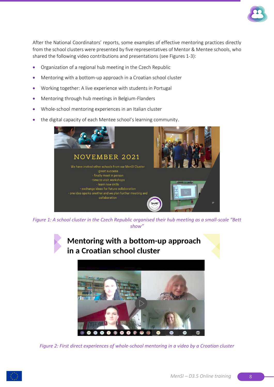

After the National Coordinators' reports, some examples of effective mentoring practices directly from the school clusters were presented by five representatives of Mentor & Mentee schools, who shared the following video contributions and presentations (see Figures 1-3):

- Organization of a regional hub meeting in the Czech Republic
- Mentoring with a bottom-up approach in a Croatian school cluster
- Working together: A live experience with students in Portugal
- Mentoring through hub meetings in Belgium-Flanders
- Whole-school mentoring experiences in an Italian cluster
- the digital capacity of each Mentee school's learning community.



*Figure 1: A school cluster in the Czech Republic organised their hub meeting as a small-scale "Bett show"*

## Mentoring with a bottom-up approach in a Croatian school cluster



*Figure 2: First direct experiences of whole-school mentoring in a video by a Croatian cluster*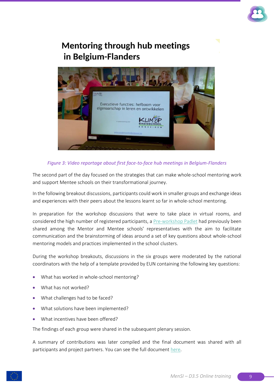

## **Mentoring through hub meetings** in Belgium-Flanders



#### *Figure 3: Video reportage about first face-to-face hub meetings in Belgium-Flanders*

The second part of the day focused on the strategies that can make whole-school mentoring work and support Mentee schools on their transformational journey.

In the following breakout discussions, participants could work in smaller groups and exchange ideas and experiences with their peers about the lessons learnt so far in whole-school mentoring.

In preparation for the workshop discussions that were to take place in virtual rooms, and considered the high number of registered participants, a [Pre-workshop Padlet](https://padlet.com/eunacademy/m9ez8yzerdpdym4s) had previously been shared among the Mentor and Mentee schools' representatives with the aim to facilitate communication and the brainstorming of ideas around a set of key questions about whole-school mentoring models and practices implemented in the school clusters.

During the workshop breakouts, discussions in the six groups were moderated by the national coordinators with the help of a template provided by EUN containing the following key questions:

- What has worked in whole-school mentoring?
- What has not worked?
- What challenges had to be faced?
- What solutions have been implemented?
- What incentives have been offered?

The findings of each group were shared in the subsequent plenary session.

A summary of contributions was later compiled and the final document was shared with all participants and project partners. You can see the full documen[t here.](https://eunorg-my.sharepoint.com/:w:/g/personal/anna_laghigna_eun_org/EZKKPXcwL1ZLne2V_OAw5BUBOAL2cOp9ZFCukZO95CdJfQ?e=xXKgMT)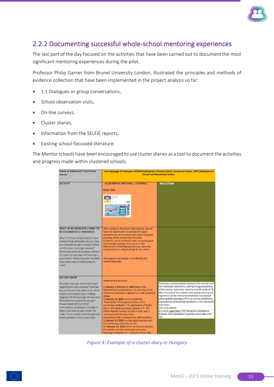

### 2.2.2 Documenting successful whole-school mentoring experiences

The last part of the day focused on the activities that have been carried out to document the most significant mentoring experiences during the pilot.

Professor Philip Garner from Brunel University London, illustrated the principles and methods of evidence collection that have been implemented in the project analysis so far:

- 1:1 Dialogues or group conversations,
- School observation visits,
- On-line surveys,
- Cluster diaries,
- Information from the SELFIE reports,
- Existing school-focussed literature.

The Mentor schools have been encouraged to use cluster diaries as a tool to document the activities and progress made within clustered schools.

| Name of Advanced Practitioner<br>School                                                                                                                                                                                                                                                                                                                                                                                                                                        | Imre Montagh of Esztergom EGYMI Kindergarten, Primary school, Vocational school, Skills Development<br><b>School and Educational School</b>                                                                                                                                                                                                                                                                                                                                                                                                                                                                                                                                                                                                                           |                                                                                                                                                                                                                                                                                                                                                                                                                                                                                                                                                          |  |  |  |
|--------------------------------------------------------------------------------------------------------------------------------------------------------------------------------------------------------------------------------------------------------------------------------------------------------------------------------------------------------------------------------------------------------------------------------------------------------------------------------|-----------------------------------------------------------------------------------------------------------------------------------------------------------------------------------------------------------------------------------------------------------------------------------------------------------------------------------------------------------------------------------------------------------------------------------------------------------------------------------------------------------------------------------------------------------------------------------------------------------------------------------------------------------------------------------------------------------------------------------------------------------------------|----------------------------------------------------------------------------------------------------------------------------------------------------------------------------------------------------------------------------------------------------------------------------------------------------------------------------------------------------------------------------------------------------------------------------------------------------------------------------------------------------------------------------------------------------------|--|--|--|
| <b>ACTIVITY</b>                                                                                                                                                                                                                                                                                                                                                                                                                                                                | <b>ILLUSTRATIVE MATERIAL / EVIDENCE</b><br><b>Bookr Kids</b>                                                                                                                                                                                                                                                                                                                                                                                                                                                                                                                                                                                                                                                                                                          | <b>REFLECTION</b>                                                                                                                                                                                                                                                                                                                                                                                                                                                                                                                                        |  |  |  |
| <b>ISSUE TO BE RESOLVED / ISSUE TO</b><br>BE CELEBRATED or ENHANCED<br>Why is the topic of significance in your<br>school? What information do you have<br>as a rationale for your selection? What<br>are the major challenges involved?<br>What might promote progress? What is<br>its impact on Learning and Teaching in<br>your school? What discussion has taken<br>place about ways of addressing the<br>Issue?                                                           | After trying out the Bookr Kids program, we will<br>have the opportunity to develop the digital<br>competencies of our school and adopt the good<br>practices of the mentoring institution.<br>During the use of multimedia tools, our pedagogical<br>methodology expands, which results in the<br>effectiveness of teaching and learning. Improving<br>comprehension is a big challenge for our school.<br>The program was tested in the 4th 6th and<br>vocational grades.                                                                                                                                                                                                                                                                                           |                                                                                                                                                                                                                                                                                                                                                                                                                                                                                                                                                          |  |  |  |
| <b>ACTION TAKEN</b><br>What plan has your school developed<br>regarding the topic selected? Describe<br>the actions you have taken so far. What<br>factors have assisted you in making<br>progress? What have been the barriers?<br>What external support did you get?<br>Include details of any further<br>consultations, initiatives or changes in<br>policy and practices your school has<br>made. Try to provide concrete examples<br>where possible of the actions taken. | Implemented activities:<br>1) January 1-February 1, 2022 Bookr Kids<br>Registration is a trial version, for pre-trial, of the<br>mentored institution in grades 4, 6, and vocational<br>school.<br>2) January 13, 2022 online conference<br>Presentation of the good practice of the<br>mentoring institution: The application of Bookr<br>Kids in the teaching process, grades 1-4.- The<br>Miklós Radnóti General School in Győr sent a<br>summary material about this.<br>Using Bookr Kids in assessment, differentiation.<br>3) January 25, 2022 to share good practice with<br>the mentoring institution on net.<br>4) February 10, 2022 online conference between<br>the mentor and the mentored institution.<br>Exchange of experience - trying the Bookr Kids | Continuous communication between the mentor and<br>the mentored institutions, sharing the good practice<br>of the mentor institution. (send us the PP made of it)<br>After the end of the probationary period, sharing the<br>experience of the mentored institution (vocational<br>school grade) (sending a PP) in an online conference.<br>Improvement of technical conditions in the mentored<br>institution:<br>1) 8 units tablets<br>2) 2 units Legamaster ETX interactive whiteboard<br>3) Bookr Kids subscription (contract concluded with<br>EO) |  |  |  |

*Figure 4: Example of a cluster diary in Hungary*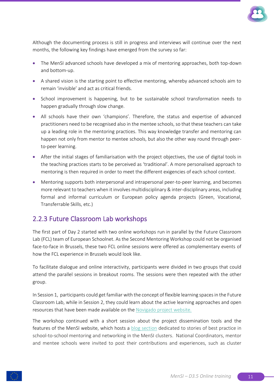

Although the documenting process is still in progress and interviews will continue over the next months, the following key findings have emerged from the survey so far:

- The MenSI advanced schools have developed a mix of mentoring approaches, both top-down and bottom-up.
- A shared vision is the starting point to effective mentoring, whereby advanced schools aim to remain 'invisible' and act as critical friends.
- School improvement is happening, but to be sustainable school transformation needs to happen gradually through slow change.
- All schools have their own 'champions'. Therefore, the status and expertise of advanced practitioners need to be recognised also in the mentee schools, so that these teachers can take up a leading role in the mentoring practices. This way knowledge transfer and mentoring can happen not only from mentor to mentee schools, but also the other way round through peerto-peer learning.
- After the initial stages of familiarisation with the project objectives, the use of digital tools in the teaching practices starts to be perceived as 'traditional'. A more personalised approach to mentoring is then required in order to meet the different exigencies of each school context.
- Mentoring supports both interpersonal and intrapersonal peer-to-peer learning, and becomes more relevant to teachers when it involves multidisciplinary & inter-disciplinary areas, including formal and informal curriculum or European policy agenda projects (Green, Vocational, Transferrable Skills, etc.)

### 2.2.3 Future Classroom Lab workshops

The first part of Day 2 started with two online workshops run in parallel by the Future Classroom Lab (FCL) team of European Schoolnet. As the Second Mentoring Workshop could not be organised face-to-face in Brussels, these two FCL online sessions were offered as complementary events of how the FCL experience in Brussels would look like.

To facilitate dialogue and online interactivity, participants were divided in two groups that could attend the parallel sessions in breakout rooms. The sessions were then repeated with the other group.

In Session 1, participants could get familiar with the concept of flexible learning spaces in the Future Classroom Lab, while in Session 2, they could learn about the active learning approaches and open resources that have been made available on the [Novigado project website.](https://fcl.eun.org/about-novigado)

The workshop continued with a short session about the project dissemination tools and the features of the MenSI website, which hosts a [blog section](https://mensi.eun.org/school-pilot) dedicated to stories of best practice in school-to-school mentoring and networking in the MenSI clusters. National Coordinators, mentor and mentee schools were invited to post their contributions and experiences, such as cluster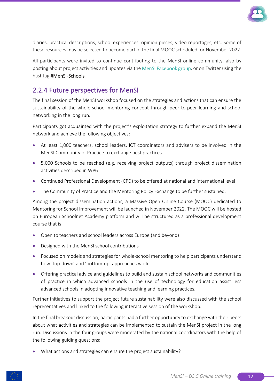

diaries, practical descriptions, school experiences, opinion pieces, video reportages, etc. Some of these resources may be selected to become part of the final MOOC scheduled for November 2022.

All participants were invited to continue contributing to the MenSI online community, also by posting about project activities and updates via th[e MenSI Facebook group,](https://eur02.safelinks.protection.outlook.com/?url=https%3A%2F%2Fwww.facebook.com%2Fgroups%2Fmensi.school.to.school.mentoring&data=05%7C01%7Canna.laghigna%40eun.org%7C4a7bfcb9fd224903f3d508da3e2d8607%7Ce21d18f121124ecfa67cd20aedbd18b3%7C0%7C0%7C637890662521578804%7CUnknown%7CTWFpbGZsb3d8eyJWIjoiMC4wLjAwMDAiLCJQIjoiV2luMzIiLCJBTiI6Ik1haWwiLCJXVCI6Mn0%3D%7C3000%7C%7C%7C&sdata=RJqP7UJSb03CkQnE5%2B4ksHZOPdpNQnydDyG33uEyB5E%3D&reserved=0) or on Twitter using the hashtag #MenSI-Schools.

### 2.2.4 Future perspectives for MenSI

The final session of the MenSI workshop focused on the strategies and actions that can ensure the sustainability of the whole-school mentoring concept through peer-to-peer learning and school networking in the long run.

Participants got acquainted with the project's exploitation strategy to further expand the MenSI network and achieve the following objectives:

- At least 1,000 teachers, school leaders, ICT coordinators and advisers to be involved in the MenSI Community of Practice to exchange best practices.
- 5,000 Schools to be reached (e.g. receiving project outputs) through project dissemination activities described in WP6
- Continued Professional Development (CPD) to be offered at national and international level
- The Community of Practice and the Mentoring Policy Exchange to be further sustained.

Among the project dissemination actions, a Massive Open Online Course (MOOC) dedicated to Mentoring for School Improvement will be launched in November 2022. The MOOC will be hosted on European Schoolnet Academy platform and will be structured as a professional development course that is:

- Open to teachers and school leaders across Europe (and beyond)
- Designed with the MenSI school contributions
- Focused on models and strategies for whole-school mentoring to help participants understand how 'top-down' and 'bottom-up' approaches work
- Offering practical advice and guidelines to build and sustain school networks and communities of practice in which advanced schools in the use of technology for education assist less advanced schools in adopting innovative teaching and learning practices.

Further initiatives to support the project future sustainability were also discussed with the school representatives and linked to the following interactive session of the workshop.

In the final breakout discussion, participants had a further opportunity to exchange with their peers about what activities and strategies can be implemented to sustain the MenSI project in the long run. Discussions in the four groups were moderated by the national coordinators with the help of the following guiding questions:

• What actions and strategies can ensure the project sustainability?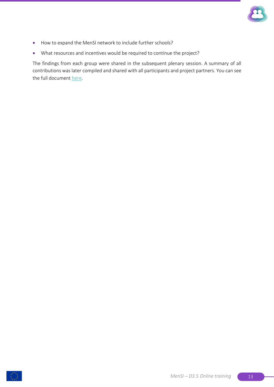

- How to expand the MenSI network to include further schools?
- What resources and incentives would be required to continue the project?

The findings from each group were shared in the subsequent plenary session. A summary of all contributions was later compiled and shared with all participants and project partners. You can see the full document [here.](https://eunorg-my.sharepoint.com/:w:/g/personal/anna_laghigna_eun_org/EdDMCkN9WcFEhry9MDpqThsBx5ioKJwE5N5vEohxrR2vcA?e=HPhHkd)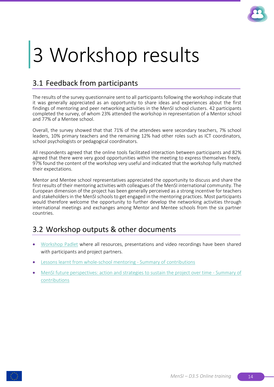

## 3 Workshop results

## 3.1 Feedback from participants

The results of the survey questionnaire sent to all participants following the workshop indicate that it was generally appreciated as an opportunity to share ideas and experiences about the first findings of mentoring and peer networking activities in the MenSI school clusters. 42 participants completed the survey, of whom 23% attended the workshop in representation of a Mentor school and 77% of a Mentee school.

Overall, the survey showed that that 71% of the attendees were secondary teachers, 7% school leaders, 10% primary teachers and the remaining 12% had other roles such as ICT coordinators, school psychologists or pedagogical coordinators.

All respondents agreed that the online tools facilitated interaction between participants and 82% agreed that there were very good opportunities within the meeting to express themselves freely. 97% found the content of the workshop very useful and indicated that the workshop fully matched their expectations.

Mentor and Mentee school representatives appreciated the opportunity to discuss and share the first results of their mentoring activities with colleagues of the MenSI international community. The European dimension of the project has been generally perceived as a strong incentive for teachers and stakeholders in the MenSI schools to get engaged in the mentoring practices. Most participants would therefore welcome the opportunity to further develop the networking activities through international meetings and exchanges among Mentor and Mentee schools from the six partner countries.

## 3.2 Workshop outputs & other documents

- [Workshop Padlet](https://padlet.com/eunacademy/mensi2022) where all resources, presentations and video recordings have been shared with participants and project partners.
- [Lessons learnt from whole-school mentoring -](https://eunorg-my.sharepoint.com/:w:/g/personal/anna_laghigna_eun_org/EZKKPXcwL1ZLne2V_OAw5BUBOAL2cOp9ZFCukZO95CdJfQ?e=xXKgMT) Summary of contributions
- [MenSI future perspectives: action and strategies to sustain the project over time -](https://eunorg-my.sharepoint.com/:w:/g/personal/anna_laghigna_eun_org/EdDMCkN9WcFEhry9MDpqThsBx5ioKJwE5N5vEohxrR2vcA?e=HPhHkd) Summary of [contributions](https://eunorg-my.sharepoint.com/:w:/g/personal/anna_laghigna_eun_org/EdDMCkN9WcFEhry9MDpqThsBx5ioKJwE5N5vEohxrR2vcA?e=HPhHkd)